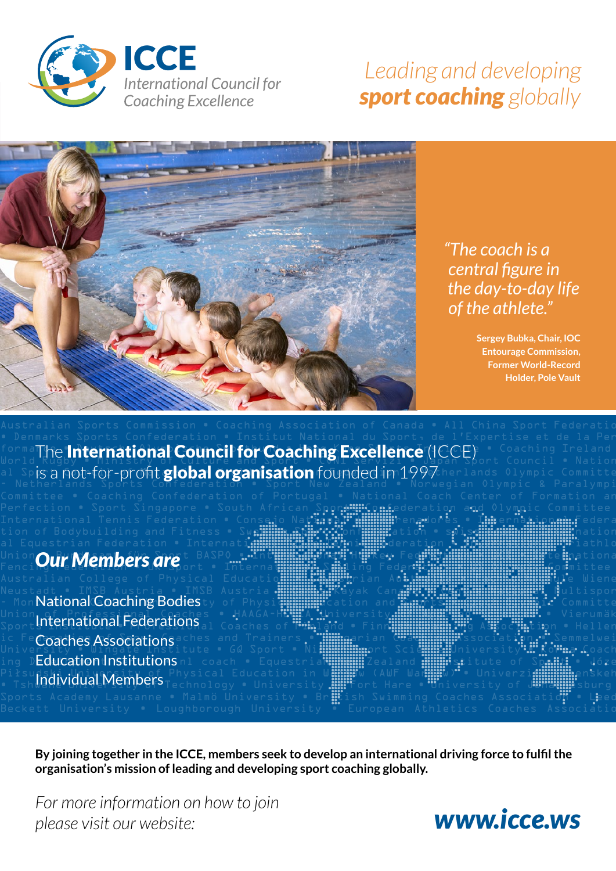

### *Leading and developing sport coaching globally*



### *"The coach is a central figure in the day-to-day life of the athlete."*

**Sergey Bubka, Chair, IOC Entourage Commission, Former World-Record Holder, Pole Vault**

formal he International Council for Coaching Excellence (ICCE) • Coaching Ireland World Rugby • Ministry of Culture and Sport • CONI Servizi • Japan Sport Council • National Spis a not-for-profit global organisation founded in 1997 herlands Olympic Committe - Netherlands Sports Confederation • Sport New Zealand • Norwegian Olympic & Paralympic

#### al Equestrian Federation • Internati<mark>de Sanshah Table Tennis Tennis Federation • Para Tennis Tenn</mark>athlo Union *Qur Members are* t BASPO • International Hockey Federational Hockey Federational Legislational Hockey Federational Legislational Legislational Legislational Legislational Legislational Legislational Legislational Le Fencing Hell Gulbret July Sport • International Sails ing Federation Sail Sail Sail Sail Sail Section of District

Neustadt • IMSB Austria • IMSB Austria • <mark>Austria • Canada • Canada • Can</mark> • Canada • Centre Austrian Austria Multispor - Mon**National Coaching Bodies**ty of Physical Cation and Sention Control Committe Union of Professienal Coaches • HAAGA-HELIA University HILI SCIENCE SCIENCE Vierumäk Sport**lnternational Federations** al Coaches of Final Policies of Finnish Coaches of Association • Hellen ic Fe $\mathsf{Coaches}\,\mathsf{Association}\,$ saches and Trainers • Hungarian Coaching Association • Semmelwei Unive<u>r</u>sity • Wingate Institute • G0 Sport • Ni**ppon Sport Science University • Korea C**oach ing D**Education Institutions** nl coach • Equestrian Anna Formation of Spanis • Józe Piłsudski University of Physical Education in Wars (AWF Wars Whiverzid Wars Warshinenskeh<br>Individual Members <sub>Pechnology</sub> • University Witcht Hare • University of Wars Witch • Tshwyllich University of Technology • University  $\lim_{\varepsilon\to 0}$  Fort Hare • University of Juniversity of Juniversity of  $\alpha$ 

**By joining together in the ICCE, members seek to develop an international driving force to fulfil the organisation's mission of leading and developing sport coaching globally.**

Perfection • Sport Singapore • South African Sport!!! can ederation and Olympic Committee • International Tennis Federation • Consejo Na**tions). Thummin**enadores • **Int**ernational Federa tion of Bodybuilding and Fitness • Sw**edish A.S. Configure** Cin • swis<del>s Confederation</del> • Swiss computer of the

Australian College of Physical Educatio<mark>n • Equestion Australia • Fachio • Fachio • Fachhol</mark> • Wiene

Sports Academy Lausanne • Malmö University • Br $\Xi$ tish Swimming Coaches Associatio $\sharp$  • Leed

*For more information on how to join please visit our website:*

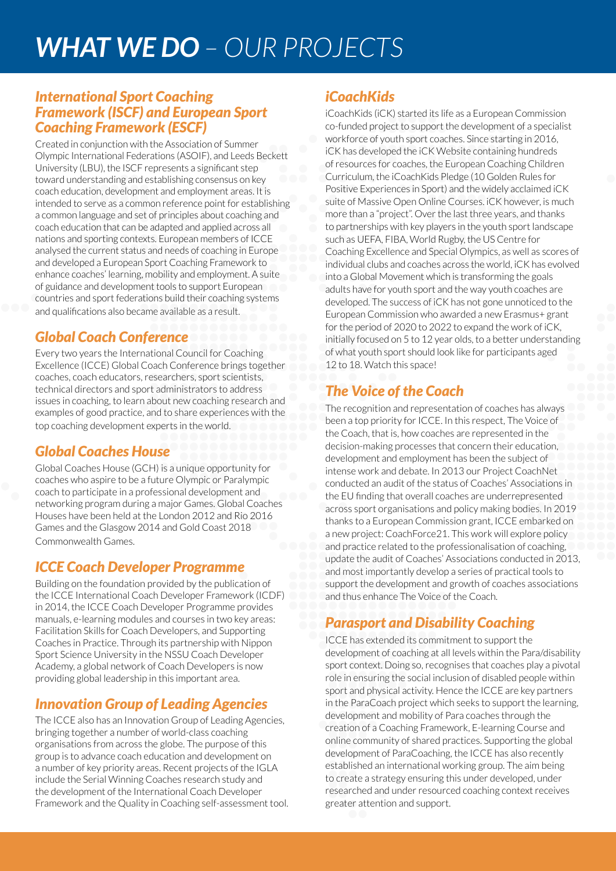# *WHAT WE DO – OUR PROJECTS*

#### *International Sport Coaching Framework (ISCF) and European Sport Coaching Framework (ESCF)*

Created in conjunction with the Association of Summer Olympic International Federations (ASOIF), and Leeds Beckett University (LBU), the ISCF represents a significant step toward understanding and establishing consensus on key coach education, development and employment areas. It is intended to serve as a common reference point for establishing a common language and set of principles about coaching and coach education that can be adapted and applied across all nations and sporting contexts. European members of ICCE analysed the current status and needs of coaching in Europe and developed a European Sport Coaching Framework to enhance coaches' learning, mobility and employment. A suite of guidance and development tools to support European countries and sport federations build their coaching systems and qualifications also became available as a result.

### *Global Coach Conference*

Every two years the International Council for Coaching Excellence (ICCE) Global Coach Conference brings together coaches, coach educators, researchers, sport scientists, technical directors and sport administrators to address issues in coaching, to learn about new coaching research and examples of good practice, and to share experiences with the top coaching development experts in the world.

#### *Global Coaches House*

Global Coaches House (GCH) is a unique opportunity for coaches who aspire to be a future Olympic or Paralympic coach to participate in a professional development and networking program during a major Games. Global Coaches Houses have been held at the London 2012 and Rio 2016 Games and the Glasgow 2014 and Gold Coast 2018 Commonwealth Games.

#### *ICCE Coach Developer Programme*

Building on the foundation provided by the publication of the ICCE International Coach Developer Framework (ICDF) in 2014, the ICCE Coach Developer Programme provides manuals, e-learning modules and courses in two key areas: Facilitation Skills for Coach Developers, and Supporting Coaches in Practice. Through its partnership with Nippon Sport Science University in the NSSU Coach Developer Academy, a global network of Coach Developers is now providing global leadership in this important area.

### *Innovation Group of Leading Agencies*

The ICCE also has an Innovation Group of Leading Agencies, bringing together a number of world-class coaching organisations from across the globe. The purpose of this group is to advance coach education and development on a number of key priority areas. Recent projects of the IGLA include the Serial Winning Coaches research study and the development of the International Coach Developer Framework and the Quality in Coaching self-assessment tool.

#### *iCoachKids*

iCoachKids (iCK) started its life as a European Commission co-funded project to support the development of a specialist workforce of youth sport coaches. Since starting in 2016, iCK has developed the iCK Website containing hundreds of resources for coaches, the European Coaching Children Curriculum, the iCoachKids Pledge (10 Golden Rules for Positive Experiences in Sport) and the widely acclaimed iCK suite of Massive Open Online Courses. iCK however, is much more than a "project". Over the last three years, and thanks to partnerships with key players in the youth sport landscape such as UEFA, FIBA, World Rugby, the US Centre for Coaching Excellence and Special Olympics, as well as scores of individual clubs and coaches across the world, iCK has evolved into a Global Movement which is transforming the goals adults have for youth sport and the way youth coaches are developed. The success of iCK has not gone unnoticed to the European Commission who awarded a new Erasmus+ grant for the period of 2020 to 2022 to expand the work of iCK, initially focused on 5 to 12 year olds, to a better understanding of what youth sport should look like for participants aged 12 to 18. Watch this space!

### *The Voice of the Coach*

The recognition and representation of coaches has always been a top priority for ICCE. In this respect, The Voice of the Coach, that is, how coaches are represented in the decision-making processes that concern their education, development and employment has been the subject of intense work and debate. In 2013 our Project CoachNet conducted an audit of the status of Coaches' Associations in the EU finding that overall coaches are underrepresented across sport organisations and policy making bodies. In 2019 thanks to a European Commission grant, ICCE embarked on a new project: CoachForce21. This work will explore policy and practice related to the professionalisation of coaching, update the audit of Coaches' Associations conducted in 2013, and most importantly develop a series of practical tools to support the development and growth of coaches associations and thus enhance The Voice of the Coach.

#### *Parasport and Disability Coaching*

ICCE has extended its commitment to support the development of coaching at all levels within the Para/disability sport context. Doing so, recognises that coaches play a pivotal role in ensuring the social inclusion of disabled people within sport and physical activity. Hence the ICCE are key partners in the ParaCoach project which seeks to support the learning, development and mobility of Para coaches through the creation of a Coaching Framework, E-learning Course and online community of shared practices. Supporting the global development of ParaCoaching, the ICCE has also recently established an international working group. The aim being to create a strategy ensuring this under developed, under researched and under resourced coaching context receives greater attention and support.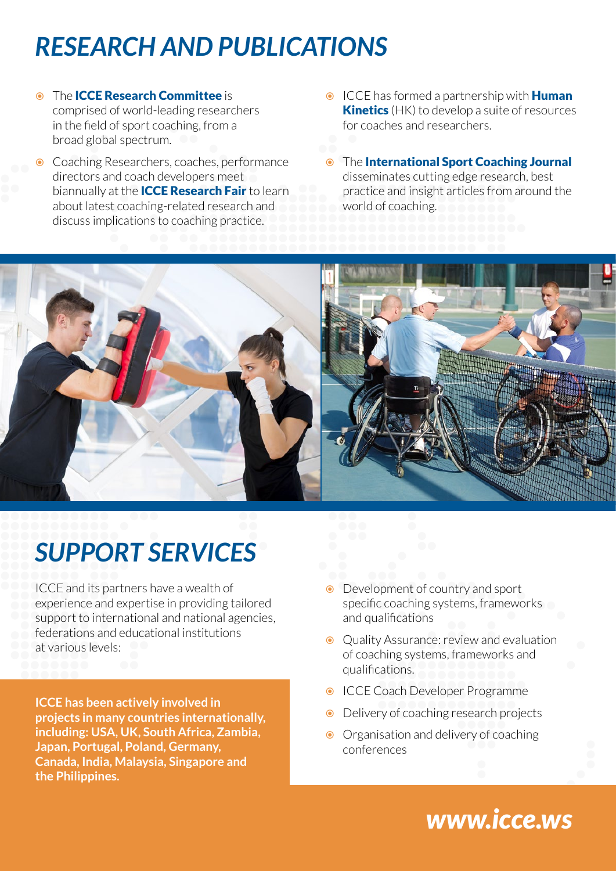# *RESEARCH AND PUBLICATIONS*

- The **ICCE Research Committee** is comprised of world-leading researchers in the field of sport coaching, from a broad global spectrum.
- Coaching Researchers, coaches, performance directors and coach developers meet biannually at the **ICCE Research Fair** to learn about latest coaching-related research and discuss implications to coaching practice.
- **ICCE** has formed a partnership with **Human Kinetics** (HK) to develop a suite of resources for coaches and researchers.
- The International Sport Coaching Journal disseminates cutting edge research, best practice and insight articles from around the world of coaching.



# *SUPPORT SERVICES*

ICCE and its partners have a wealth of experience and expertise in providing tailored support to international and national agencies, federations and educational institutions at various levels:

**ICCE has been actively involved in projects in many countries internationally, including: USA, UK, South Africa, Zambia, Japan, Portugal, Poland, Germany, Canada, India, Malaysia, Singapore and the Philippines.**

- Development of country and sport specific coaching systems, frameworks and qualifications
- **●** Quality Assurance: review and evaluation of coaching systems, frameworks and qualifications.
- **ICCE Coach Developer Programme**
- Delivery of coaching research projects
- **◯** Organisation and delivery of coaching conferences

## *[www.icce.ws](http://www.icce.ws)*